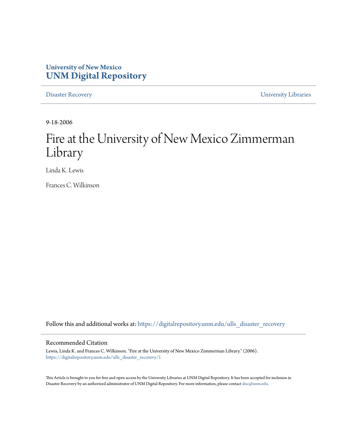## **University of New Mexico [UNM Digital Repository](https://digitalrepository.unm.edu?utm_source=digitalrepository.unm.edu%2Fulls_disaster_recovery%2F1&utm_medium=PDF&utm_campaign=PDFCoverPages)**

[Disaster Recovery](https://digitalrepository.unm.edu/ulls_disaster_recovery?utm_source=digitalrepository.unm.edu%2Fulls_disaster_recovery%2F1&utm_medium=PDF&utm_campaign=PDFCoverPages) [University Libraries](https://digitalrepository.unm.edu/libraries?utm_source=digitalrepository.unm.edu%2Fulls_disaster_recovery%2F1&utm_medium=PDF&utm_campaign=PDFCoverPages)

9-18-2006

# Fire at the University of New Mexico Zimmerman Library

Linda K. Lewis

Frances C. Wilkinson

Follow this and additional works at: [https://digitalrepository.unm.edu/ulls\\_disaster\\_recovery](https://digitalrepository.unm.edu/ulls_disaster_recovery?utm_source=digitalrepository.unm.edu%2Fulls_disaster_recovery%2F1&utm_medium=PDF&utm_campaign=PDFCoverPages)

#### Recommended Citation

Lewis, Linda K. and Frances C. Wilkinson. "Fire at the University of New Mexico Zimmerman Library." (2006). [https://digitalrepository.unm.edu/ulls\\_disaster\\_recovery/1](https://digitalrepository.unm.edu/ulls_disaster_recovery/1?utm_source=digitalrepository.unm.edu%2Fulls_disaster_recovery%2F1&utm_medium=PDF&utm_campaign=PDFCoverPages)

This Article is brought to you for free and open access by the University Libraries at UNM Digital Repository. It has been accepted for inclusion in Disaster Recovery by an authorized administrator of UNM Digital Repository. For more information, please contact [disc@unm.edu.](mailto:disc@unm.edu)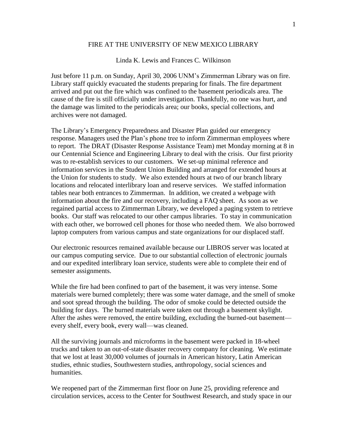### FIRE AT THE UNIVERSITY OF NEW MEXICO LIBRARY

#### Linda K. Lewis and Frances C. Wilkinson

Just before 11 p.m. on Sunday, April 30, 2006 UNM's Zimmerman Library was on fire. Library staff quickly evacuated the students preparing for finals. The fire department arrived and put out the fire which was confined to the basement periodicals area. The cause of the fire is still officially under investigation. Thankfully, no one was hurt, and the damage was limited to the periodicals area; our books, special collections, and archives were not damaged.

The Library's Emergency Preparedness and Disaster Plan guided our emergency response. Managers used the Plan's phone tree to inform Zimmerman employees where to report. The DRAT (Disaster Response Assistance Team) met Monday morning at 8 in our Centennial Science and Engineering Library to deal with the crisis. Our first priority was to re-establish services to our customers. We set-up minimal reference and information services in the Student Union Building and arranged for extended hours at the Union for students to study. We also extended hours at two of our branch library locations and relocated interlibrary loan and reserve services. We staffed information tables near both entrances to Zimmerman. In addition, we created a webpage with information about the fire and our recovery, including a FAQ sheet. As soon as we regained partial access to Zimmerman Library, we developed a paging system to retrieve books. Our staff was relocated to our other campus libraries. To stay in communication with each other, we borrowed cell phones for those who needed them. We also borrowed laptop computers from various campus and state organizations for our displaced staff.

Our electronic resources remained available because our LIBROS server was located at our campus computing service. Due to our substantial collection of electronic journals and our expedited interlibrary loan service, students were able to complete their end of semester assignments.

While the fire had been confined to part of the basement, it was very intense. Some materials were burned completely; there was some water damage, and the smell of smoke and soot spread through the building. The odor of smoke could be detected outside the building for days. The burned materials were taken out through a basement skylight. After the ashes were removed, the entire building, excluding the burned-out basement every shelf, every book, every wall—was cleaned.

All the surviving journals and microforms in the basement were packed in 18-wheel trucks and taken to an out-of-state disaster recovery company for cleaning. We estimate that we lost at least 30,000 volumes of journals in American history, Latin American studies, ethnic studies, Southwestern studies, anthropology, social sciences and humanities.

We reopened part of the Zimmerman first floor on June 25, providing reference and circulation services, access to the Center for Southwest Research, and study space in our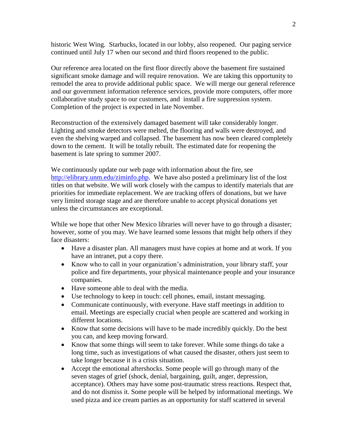historic West Wing. Starbucks, located in our lobby, also reopened. Our paging service continued until July 17 when our second and third floors reopened to the public.

Our reference area located on the first floor directly above the basement fire sustained significant smoke damage and will require renovation. We are taking this opportunity to remodel the area to provide additional public space. We will merge our general reference and our government information reference services, provide more computers, offer more collaborative study space to our customers, and install a fire suppression system. Completion of the project is expected in late November.

Reconstruction of the extensively damaged basement will take considerably longer. Lighting and smoke detectors were melted, the flooring and walls were destroyed, and even the shelving warped and collapsed. The basement has now been cleared completely down to the cement. It will be totally rebuilt. The estimated date for reopening the basement is late spring to summer 2007.

We continuously update our web page with information about the fire, see [http://elibrary.unm.edu/ziminfo.php.](http://elibrary.unm.edu/ziminfo.php) We have also posted a preliminary list of the lost titles on that website. We will work closely with the campus to identify materials that are priorities for immediate replacement. We are tracking offers of donations, but we have very limited storage stage and are therefore unable to accept physical donations yet unless the circumstances are exceptional.

While we hope that other New Mexico libraries will never have to go through a disaster; however, some of you may. We have learned some lessons that might help others if they face disasters:

- Have a disaster plan. All managers must have copies at home and at work. If you have an intranet, put a copy there.
- Know who to call in your organization's administration, your library staff, your police and fire departments, your physical maintenance people and your insurance companies.
- Have someone able to deal with the media.
- Use technology to keep in touch: cell phones, email, instant messaging.
- Communicate continuously, with everyone. Have staff meetings in addition to email. Meetings are especially crucial when people are scattered and working in different locations.
- Know that some decisions will have to be made incredibly quickly. Do the best you can, and keep moving forward.
- Know that some things will seem to take forever. While some things do take a long time, such as investigations of what caused the disaster, others just seem to take longer because it is a crisis situation.
- Accept the emotional aftershocks. Some people will go through many of the seven stages of grief (shock, denial, bargaining, guilt, anger, depression, acceptance). Others may have some post-traumatic stress reactions. Respect that, and do not dismiss it. Some people will be helped by informational meetings. We used pizza and ice cream parties as an opportunity for staff scattered in several